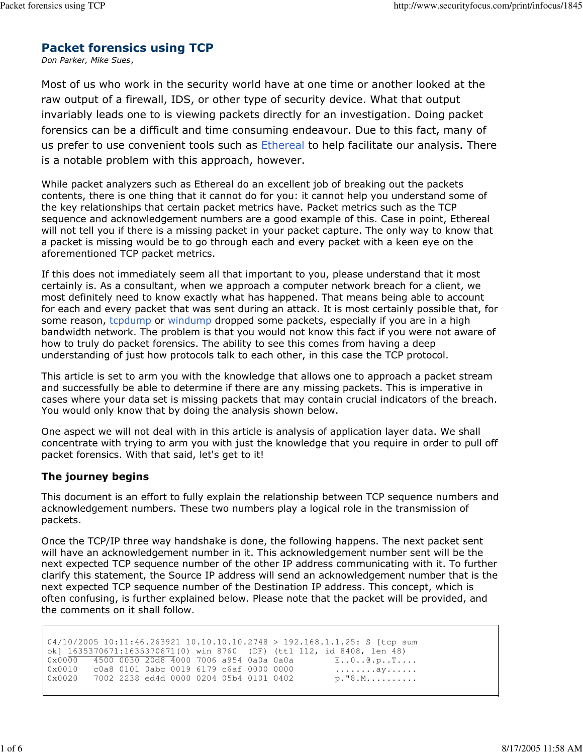# Packet forensics using TCP

Don Parker, Mike Sues,

Most of us who work in the security world have at one time or another looked at the raw output of a firewall, IDS, or other type of security device. What that output invariably leads one to is viewing packets directly for an investigation. Doing packet forensics can be a difficult and time consuming endeavour. Due to this fact, many of us prefer to use convenient tools such as Ethereal to help facilitate our analysis. There is a notable problem with this approach, however.

While packet analyzers such as Ethereal do an excellent job of breaking out the packets contents, there is one thing that it cannot do for you: it cannot help you understand some of the key relationships that certain packet metrics have. Packet metrics such as the TCP sequence and acknowledgement numbers are a good example of this. Case in point, Ethereal will not tell you if there is a missing packet in your packet capture. The only way to know that a packet is missing would be to go through each and every packet with a keen eye on the aforementioned TCP packet metrics.

If this does not immediately seem all that important to you, please understand that it most certainly is. As a consultant, when we approach a computer network breach for a client, we most definitely need to know exactly what has happened. That means being able to account for each and every packet that was sent during an attack. It is most certainly possible that, for some reason, tcpdump or windump dropped some packets, especially if you are in a high bandwidth network. The problem is that you would not know this fact if you were not aware of how to truly do packet forensics. The ability to see this comes from having a deep understanding of just how protocols talk to each other, in this case the TCP protocol.

This article is set to arm you with the knowledge that allows one to approach a packet stream and successfully be able to determine if there are any missing packets. This is imperative in cases where your data set is missing packets that may contain crucial indicators of the breach. You would only know that by doing the analysis shown below.

One aspect we will not deal with in this article is analysis of application layer data. We shall concentrate with trying to arm you with just the knowledge that you require in order to pull off packet forensics. With that said, let's get to it!

# The journey begins

This document is an effort to fully explain the relationship between TCP sequence numbers and acknowledgement numbers. These two numbers play a logical role in the transmission of packets.

Once the TCP/IP three way handshake is done, the following happens. The next packet sent will have an acknowledgement number in it. This acknowledgement number sent will be the next expected TCP sequence number of the other IP address communicating with it. To further clarify this statement, the Source IP address will send an acknowledgement number that is the next expected TCP sequence number of the Destination IP address. This concept, which is often confusing, is further explained below. Please note that the packet will be provided, and the comments on it shall follow.

04/10/2005 10:11:46.263921 10.10.10.10.2748 > 192.168.1.1.25: S [tcp sum ok] 1635370671:1635370671(0) win 8760 (DF) (ttl 112, id 8408, len 48)  $0 \times 00000$   $4500$  0030 20d8  $4000$  7006 a954 0a0a  $0 \times 0010$   $E.00.000, p.$  T....  $c0a8$  0101 0abc 0019 6179 c6af 0000 0000  $\dots\dots\dots ay\dots\dots$  $0 \times 0020$  7002 2238 ed4d 0000 0204 05b4 0101 0402 p."8.M.........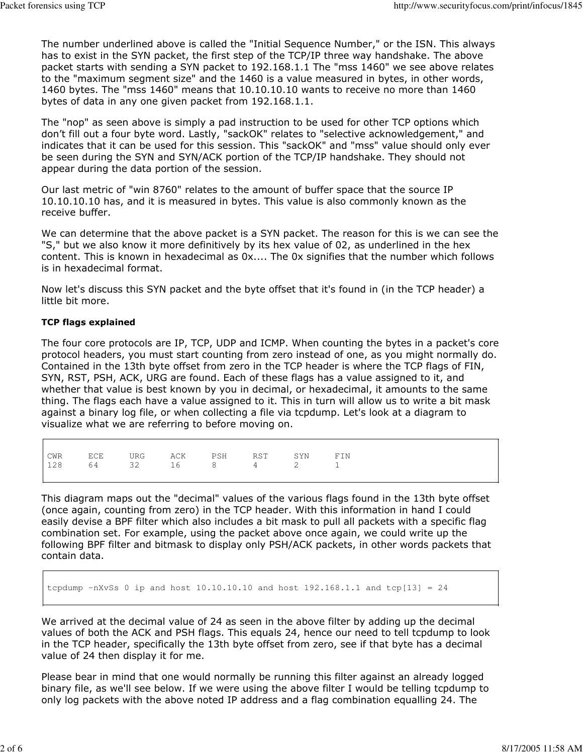The number underlined above is called the "Initial Sequence Number," or the ISN. This always has to exist in the SYN packet, the first step of the TCP/IP three way handshake. The above packet starts with sending a SYN packet to 192.168.1.1 The "mss 1460" we see above relates to the "maximum segment size" and the 1460 is a value measured in bytes, in other words, 1460 bytes. The "mss 1460" means that 10.10.10.10 wants to receive no more than 1460 bytes of data in any one given packet from 192.168.1.1.

The "nop" as seen above is simply a pad instruction to be used for other TCP options which don't fill out a four byte word. Lastly, "sackOK" relates to "selective acknowledgement," and indicates that it can be used for this session. This "sackOK" and "mss" value should only ever be seen during the SYN and SYN/ACK portion of the TCP/IP handshake. They should not appear during the data portion of the session.

Our last metric of "win 8760" relates to the amount of buffer space that the source IP 10.10.10.10 has, and it is measured in bytes. This value is also commonly known as the receive buffer.

We can determine that the above packet is a SYN packet. The reason for this is we can see the "S," but we also know it more definitively by its hex value of 02, as underlined in the hex content. This is known in hexadecimal as 0x.... The 0x signifies that the number which follows is in hexadecimal format.

Now let's discuss this SYN packet and the byte offset that it's found in (in the TCP header) a little bit more.

### TCP flags explained

 $\Gamma$ 

The four core protocols are IP, TCP, UDP and ICMP. When counting the bytes in a packet's core protocol headers, you must start counting from zero instead of one, as you might normally do. Contained in the 13th byte offset from zero in the TCP header is where the TCP flags of FIN, SYN, RST, PSH, ACK, URG are found. Each of these flags has a value assigned to it, and whether that value is best known by you in decimal, or hexadecimal, it amounts to the same thing. The flags each have a value assigned to it. This in turn will allow us to write a bit mask against a binary log file, or when collecting a file via tcpdump. Let's look at a diagram to visualize what we are referring to before moving on.

|  | CWR ECE URG ACK PSH RST SYN FIN |  |  |
|--|---------------------------------|--|--|
|  | $128$ 64 32 16 8 4 2 1          |  |  |
|  |                                 |  |  |
|  |                                 |  |  |

This diagram maps out the "decimal" values of the various flags found in the 13th byte offset (once again, counting from zero) in the TCP header. With this information in hand I could easily devise a BPF filter which also includes a bit mask to pull all packets with a specific flag combination set. For example, using the packet above once again, we could write up the following BPF filter and bitmask to display only PSH/ACK packets, in other words packets that contain data.

tcpdump  $-nXvSs$  0 ip and host  $10.10.10.10$  and host  $192.168.1.1$  and tcp $[13] = 24$ 

We arrived at the decimal value of 24 as seen in the above filter by adding up the decimal values of both the ACK and PSH flags. This equals 24, hence our need to tell tcpdump to look in the TCP header, specifically the 13th byte offset from zero, see if that byte has a decimal value of 24 then display it for me.

Please bear in mind that one would normally be running this filter against an already logged binary file, as we'll see below. If we were using the above filter I would be telling tcpdump to only log packets with the above noted IP address and a flag combination equalling 24. The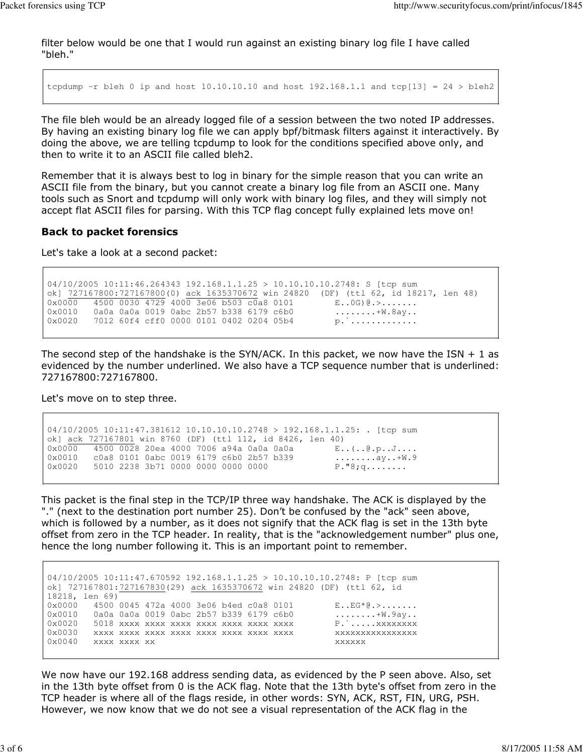filter below would be one that I would run against an existing binary log file I have called "bleh."

tcpdump  $-r$  bleh 0 ip and host  $10.10.10.10$  and host  $192.168.1.1$  and tcp[13] = 24 > bleh2

The file bleh would be an already logged file of a session between the two noted IP addresses. By having an existing binary log file we can apply bpf/bitmask filters against it interactively. By doing the above, we are telling tcpdump to look for the conditions specified above only, and then to write it to an ASCII file called bleh2.

Remember that it is always best to log in binary for the simple reason that you can write an ASCII file from the binary, but you cannot create a binary log file from an ASCII one. Many tools such as Snort and tcpdump will only work with binary log files, and they will simply not accept flat ASCII files for parsing. With this TCP flag concept fully explained lets move on!

#### Back to packet forensics

Let's take a look at a second packet:

```
04/10/2005 10:11:46.264343 192.168.1.1.25 > 10.10.10.10.2748: S [tcp sum
ok] 727167800:727167800(0) ack 1635370672 win 24820 (DF) (ttl 62, id 18217, len 48)
0x0000 4500 0030 4729 4000 3e06 b503 c0a8 0101 E..0G)@.>........
0x0010 0a0a 0a0a 0019 0abc 2b57 b338 6179 c6b0 ........+W.8ay..
0x0020 7012 60f4 cff0 0000 0101 0402 0204 05b4 p.`...............
```
The second step of the handshake is the SYN/ACK. In this packet, we now have the ISN  $+$  1 as evidenced by the number underlined. We also have a TCP sequence number that is underlined: 727167800:727167800.

Let's move on to step three.

```
04/10/2005 10:11:47.381612 10.10.10.10.2748 > 192.168.1.1.25: . [tcp sum
ok] ack 727167801 win 8760 (DF) (ttl 112, id 8426, len 40)
0x0000 4500 0028 20ea 4000 7006 a94a 0a0a 0a0a E..(..@.p..J....
0x0010 c0a8 0101 0abc 0019 6179 c6b0 2b57 b339 ........ay..+W.9
0x0020 5010 2238 3b71 0000 0000 0000 0000 P."8;q........
```
This packet is the final step in the TCP/IP three way handshake. The ACK is displayed by the "." (next to the destination port number 25). Don't be confused by the "ack" seen above, which is followed by a number, as it does not signify that the ACK flag is set in the 13th byte offset from zero in the TCP header. In reality, that is the "acknowledgement number" plus one, hence the long number following it. This is an important point to remember.

04/10/2005 10:11:47.670592 192.168.1.1.25 > 10.10.10.10.2748: P [tcp sum ok] 727167801:727167830(29) ack 1635370672 win 24820 (DF) (ttl 62, id 18218, len 69) 0x0000 4500 0045 472a 4000 3e06 b4ed c0a8 0101 E..EG\*@.>....... 0x0010 0a0a 0a0a 0019 0abc 2b57 b339 6179 c6b0 ........+W.9ay.. 0x0020 5018 xxxx xxxx xxxx xxxx xxxx xxxx xxxx P.`.....xxxxxxxx 0x0030 xxxx xxxx xxxx xxxx xxxx xxxx xxxx xxxx xxxxxxxxxxxxxxxx 0x0040 xxxx xxxx xx xxxxxx

We now have our 192.168 address sending data, as evidenced by the P seen above. Also, set in the 13th byte offset from 0 is the ACK flag. Note that the 13th byte's offset from zero in the TCP header is where all of the flags reside, in other words: SYN, ACK, RST, FIN, URG, PSH. However, we now know that we do not see a visual representation of the ACK flag in the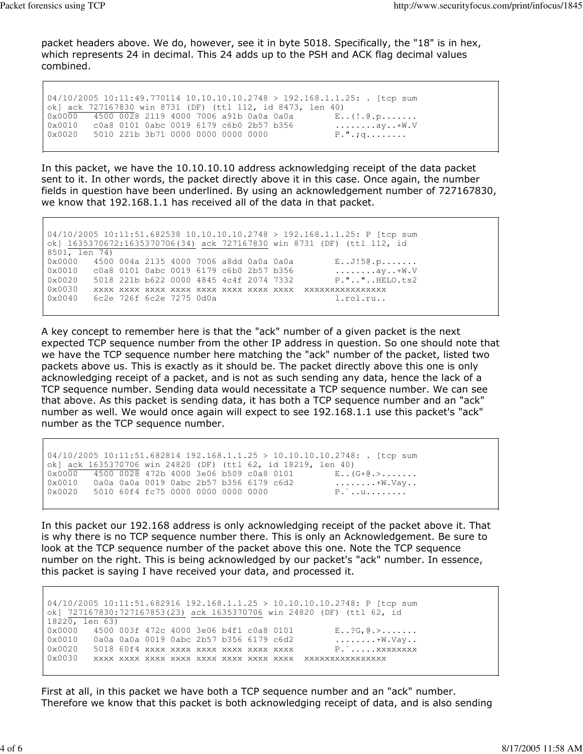packet headers above. We do, however, see it in byte 5018. Specifically, the "18" is in hex, which represents 24 in decimal. This 24 adds up to the PSH and ACK flag decimal values combined.

04/10/2005 10:11:49.770114 10.10.10.10.2748 > 192.168.1.1.25: . [tcp sum ok] ack 727167830 win 8731 (DF) (ttl 112, id 8473, len 40) 0x0000 4500 0028 2119 4000 7006 a91b 0a0a 0a0a E..(!.@.p....... 0x0010 c0a8 0101 0abc 0019 6179 c6b0 2b57 b356 ........ay..+W.V 0x0020 5010 221b 3b71 0000 0000 0000 0000 P.".;q........

In this packet, we have the 10.10.10.10 address acknowledging receipt of the data packet sent to it. In other words, the packet directly above it in this case. Once again, the number fields in question have been underlined. By using an acknowledgement number of 727167830, we know that 192.168.1.1 has received all of the data in that packet.

04/10/2005 10:11:51.682538 10.10.10.10.2748 > 192.168.1.1.25: P [tcp sum ok] 1635370672:1635370706(34) ack 727167830 win 8731 (DF) (ttl 112, id 8501, len 74) 0x0000 4500 004a 2135 4000 7006 a8dd 0a0a 0a0a E..J!5@.p....... 0x0010 c0a8 0101 0abc 0019 6179 c6b0 2b57 b356 ........ay..+W.V 0x0020 5018 221b b622 0000 4845 4c4f 2074 7332 P.".."..HELO.ts2 0x0030 xxxx xxxx xxxx xxxx xxxx xxxx xxxx xxxx xxxxxxxxxxxxxxxx 0x0040 6c2e 726f 6c2e 7275 0d0a l.rol.ru..

A key concept to remember here is that the "ack" number of a given packet is the next expected TCP sequence number from the other IP address in question. So one should note that we have the TCP sequence number here matching the "ack" number of the packet, listed two packets above us. This is exactly as it should be. The packet directly above this one is only acknowledging receipt of a packet, and is not as such sending any data, hence the lack of a TCP sequence number. Sending data would necessitate a TCP sequence number. We can see that above. As this packet is sending data, it has both a TCP sequence number and an "ack" number as well. We would once again will expect to see 192.168.1.1 use this packet's "ack" number as the TCP sequence number.

04/10/2005 10:11:51.682814 192.168.1.1.25 > 10.10.10.10.2748: . [tcp sum ok] ack 1635370706 win 24820 (DF) (ttl 62, id 18219, len 40) 0x0000 4500 0028 472b 4000 3e06 b509 c0a8 0101 E.. (G+0.>....... 0x0010 0a0a 0a0a 0019 0abc 2b57 b356 6179 c6d2 ........+W.Vay.. 0x0020 5010 60f4 fc75 0000 0000 0000 0000 P.`..u........

In this packet our 192.168 address is only acknowledging receipt of the packet above it. That is why there is no TCP sequence number there. This is only an Acknowledgement. Be sure to look at the TCP sequence number of the packet above this one. Note the TCP sequence number on the right. This is being acknowledged by our packet's "ack" number. In essence, this packet is saying I have received your data, and processed it.

04/10/2005 10:11:51.682916 192.168.1.1.25 > 10.10.10.10.2748: P [tcp sum ok] 727167830:727167853(23) ack 1635370706 win 24820 (DF) (ttl 62, id  $1822\overline{0, len}$  63) 0x0000 4500 003f 472c 4000 3e06 b4f1 c0a8 0101 E..?G, @.>....... 0x0010 0a0a 0a0a 0019 0abc 2b57 b356 6179 c6d2 ........+W.Vay.. 0x0020 5018 60f4 xxxx xxxx xxxx xxxx xxxx xxxx P.`.... xxxxxxxx 0x0030 xxxx xxxx xxxx xxxx xxxx xxxx xxxx xxxx xxxxxxxxxxxxxxxx

First at all, in this packet we have both a TCP sequence number and an "ack" number. Therefore we know that this packet is both acknowledging receipt of data, and is also sending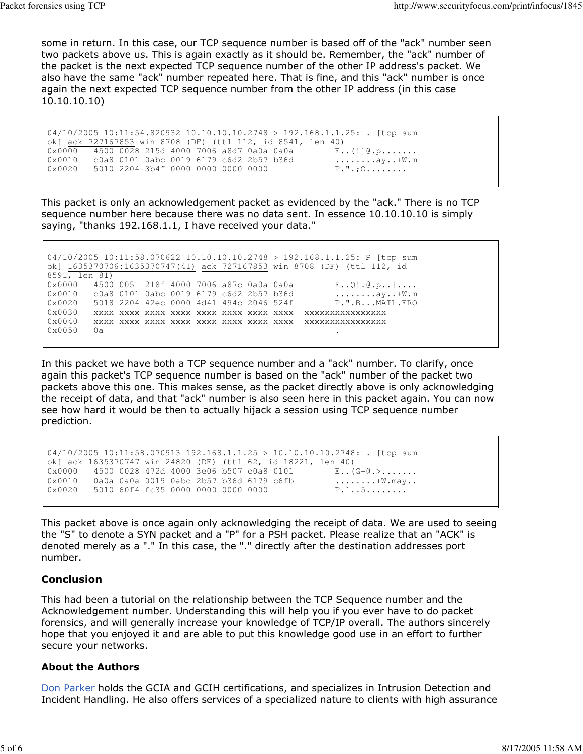some in return. In this case, our TCP sequence number is based off of the "ack" number seen two packets above us. This is again exactly as it should be. Remember, the "ack" number of the packet is the next expected TCP sequence number of the other IP address's packet. We also have the same "ack" number repeated here. That is fine, and this "ack" number is once again the next expected TCP sequence number from the other IP address (in this case 10.10.10.10)

04/10/2005 10:11:54.820932 10.10.10.10.2748 > 192.168.1.1.25: . [tcp sum ok] ack 727167853 win 8708 (DF) (ttl 112, id 8541, len 40) 0x0000 4500 0028 215d 4000 7006 a8d7 0a0a 0a0a E..(!]@.p....... 0x0010 c0a8 0101 0abc 0019 6179 c6d2 2b57 b36d ........ay..+W.m  $0 \times 0020$  5010 2204 3b4f 0000 0000 0000 0000 P.".; $0 \ldots \ldots$ 

This packet is only an acknowledgement packet as evidenced by the "ack." There is no TCP sequence number here because there was no data sent. In essence 10.10.10.10 is simply saying, "thanks 192.168.1.1, I have received your data."

04/10/2005 10:11:58.070622 10.10.10.10.2748 > 192.168.1.1.25: P [tcp sum ok] 1635370706:1635370747(41) ack 727167853 win 8708 (DF) (ttl 112, id 8591, len 81) 0x0000 4500 0051 218f 4000 7006 a87c 0a0a 0a0a E..Q!.@.p..|.... 0x0010 c0a8 0101 0abc 0019 6179 c6d2 2b57 b36d ........ay..+W.m 0x0020 5018 2204 42ec 0000 4d41 494c 2046 524f P.".B...MAIL.FRO 0x0030 xxxx xxxx xxxx xxxx xxxx xxxx xxxx xxxx xxxxxxxxxxxxxxxx 0x0040 xxxx xxxx xxxx xxxx xxxx xxxx xxxx xxxx xxxxxxxxxxxxxxxx 0x0050 0a .

In this packet we have both a TCP sequence number and a "ack" number. To clarify, once again this packet's TCP sequence number is based on the "ack" number of the packet two packets above this one. This makes sense, as the packet directly above is only acknowledging the receipt of data, and that "ack" number is also seen here in this packet again. You can now see how hard it would be then to actually hijack a session using TCP sequence number prediction.

```
04/10/2005 10:11:58.070913 192.168.1.1.25 > 10.10.10.10.2748: . [tcp sum
ok] ack 1635370747 win 24820 (DF) (ttl 62, id 18221, len 40)
0x0000 4500 0028 472d 4000 3e06 b507 c0a8 0101 E.. (G-C.>.......<br>0x0010 0a0a 0a0a 0019 0abc 2b57 b36d 6179 c6fb ...........\W.may..
0x0010 0a0a 0a0a 0019 0abc 2b57 b36d 6179 c6fb .........+W.may<br>0x0020 5010 60f4 fc35 0000 0000 0000 0000 P...5........
0x0020 5010 60f4 fc35 0000 0000 0000 0000
```
This packet above is once again only acknowledging the receipt of data. We are used to seeing the "S" to denote a SYN packet and a "P" for a PSH packet. Please realize that an "ACK" is denoted merely as a "." In this case, the "." directly after the destination addresses port number.

# Conclusion

This had been a tutorial on the relationship between the TCP Sequence number and the Acknowledgement number. Understanding this will help you if you ever have to do packet forensics, and will generally increase your knowledge of TCP/IP overall. The authors sincerely hope that you enjoyed it and are able to put this knowledge good use in an effort to further secure your networks.

### About the Authors

Don Parker holds the GCIA and GCIH certifications, and specializes in Intrusion Detection and Incident Handling. He also offers services of a specialized nature to clients with high assurance